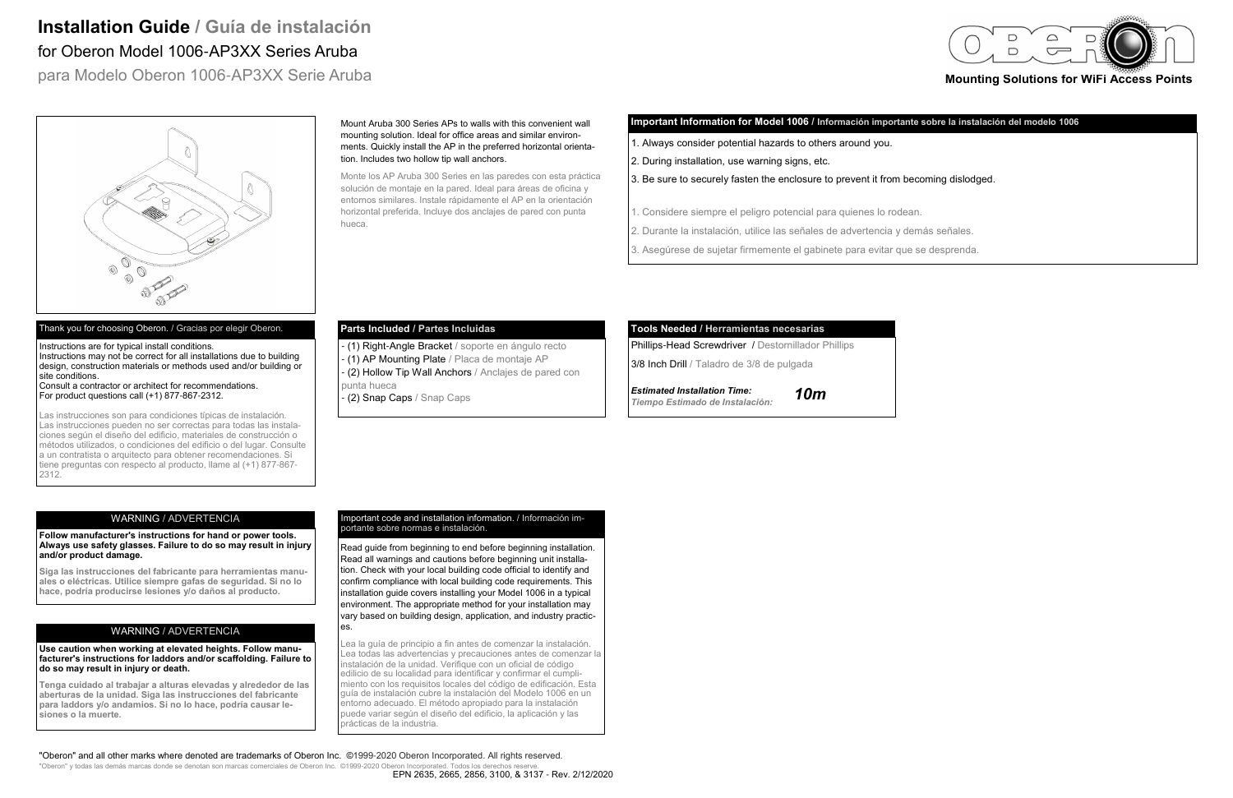# **Installation Guide / Guía de instalación**for Oberon Model 1006-AP3XX Series Aruba

para Modelo Oberon 1006-AP3XX Serie Aruba



**Mounting Solutions for WiFi Access Points**

"Oberon" and all other marks where denoted are trademarks of Oberon Inc. **©**1999-2020 Oberon Incorporated. All rights reserved.

"Oberon" y todas las demás marcas donde se denotan son marcas comerciales de Oberon Inc. ©1999-2020 Oberon Incorporated. Todos los derechos reserv

EPN 2635, 2665, 2856, 3100, & 3137 - Rev. 2/12/2020



Instructions are for typical install conditions. Instructions may not be correct for all installations due to building design, construction materials or methods used and/or building or site conditions.

### Mount Aruba 300 Series APs to walls with this convenient wall mounting solution. Ideal for office areas and similar environments. Quickly install the AP in the preferred horizontal orientation. Includes two hollow tip wall anchors.

Monte los AP Aruba 300 Series en las paredes con esta práctica solución de montaje en la pared. Ideal para áreas de oficina y entornos similares. Instale rápidamente el AP en la orientación horizontal preferida. Incluye dos anclajes de pared con punta hueca.

 Consult a contractor or architect for recommendations. For product questions call (+1) 877-867-2312.

Las instrucciones son para condiciones típicas de instalación. Las instrucciones pueden no ser correctas para todas las instalaciones según el diseño del edificio, materiales de construcción o métodos utilizados, o condiciones del edificio o del lugar. Consulte a un contratista o arquitecto para obtener recomendaciones. Si tiene preguntas con respecto al producto, llame al (+1) 877-867-2312.

### mportant code and installation information. / Información importante sobre normas e instalación.

## Thank you for choosing Oberon. / Gracias por elegir Oberon.

## WARNING / ADVERTENCIA

**Follow manufacturer's instructions for hand or power tools. Always use safety glasses. Failure to do so may result in injury and/or product damage.**

**Siga las instrucciones del fabricante para herramientas manuales o eléctricas. Utilice siempre gafas de seguridad. Si no lo hace, podría producirse lesiones y/o daños al producto.**

## WARNING / ADVERTENCIA

**Use caution when working at elevated heights. Follow manufacturer's instructions for laddors and/or scaffolding. Failure to do so may result in injury or death.**

**Tenga cuidado al trabajar a alturas elevadas y alrededor de las aberturas de la unidad. Siga las instrucciones del fabricante para laddors y/o andamios. Si no lo hace, podría causar lesiones o la muerte.**

# **Important Information for Model 1006 / Información importante sobre la instalación del modelo 1006**

- 1. Always consider potential hazards to others around you.
- 2. During installation, use warning signs, etc.
- 3. Be sure to securely fasten the enclosure to prevent it from becoming dislodged.
- 1. Considere siempre el peligro potencial para quienes lo rodean.
- 2. Durante la instalación, utilice las señales de advertencia y demás señales.
- 3. Asegúrese de sujetar firmemente el gabinete para evitar que se desprenda.

Read guide from beginning to end before beginning installation. Read all warnings and cautions before beginning unit installation. Check with your local building code official to identify and confirm compliance with local building code requirements. This installation guide covers installing your Model 1006 in a typical environment. The appropriate method for your installation may vary based on building design, application, and industry practices.

Lea la guía de principio a fin antes de comenzar la instalación. Lea todas las advertencias y precauciones antes de comenzar la instalación de la unidad. Verifique con un oficial de código edilicio de su localidad para identificar y confirmar el cumplimiento con los requisitos locales del código de edificación. Esta guía de instalación cubre la instalación del Modelo 1006 en un entorno adecuado. El método apropiado para la instalación puede variar según el diseño del edificio, la aplicación y las prácticas de la industria.

## **Tools Needed / Herramientas necesarias**

Phillips-Head Screwdriver / Destornillador Phillips

3/8 Inch Drill / Taladro de 3/8 de pulgada

*Estimated Installation Time: Tiempo Estimado de Instalación:* *10m*

# **Parts Included / Partes Incluidas**

- (1) Right-Angle Bracket / soporte en ángulo recto

- (1) AP Mounting Plate / Placa de montaje AP

 - (2) Hollow Tip Wall Anchors / Anclajes de pared con punta hueca

- (2) Snap Caps / Snap Caps